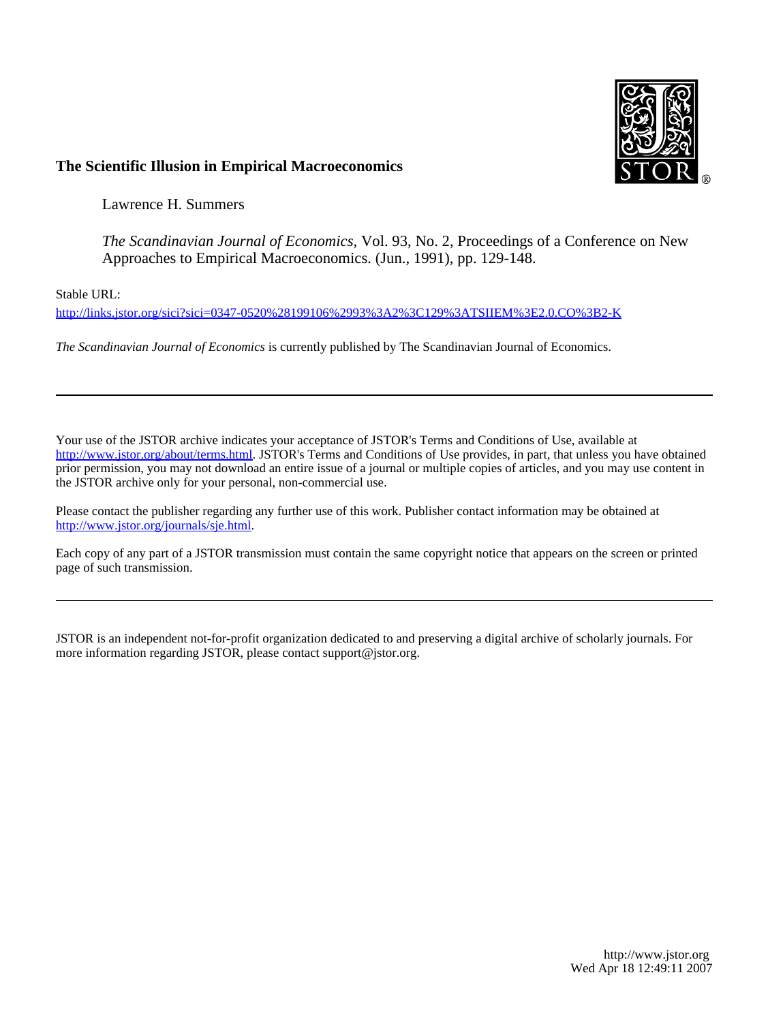

## **The Scientific Illusion in Empirical Macroeconomics**

Lawrence H. Summers

*The Scandinavian Journal of Economics*, Vol. 93, No. 2, Proceedings of a Conference on New Approaches to Empirical Macroeconomics. (Jun., 1991), pp. 129-148.

Stable URL:

<http://links.jstor.org/sici?sici=0347-0520%28199106%2993%3A2%3C129%3ATSIIEM%3E2.0.CO%3B2-K>

*The Scandinavian Journal of Economics* is currently published by The Scandinavian Journal of Economics.

Your use of the JSTOR archive indicates your acceptance of JSTOR's Terms and Conditions of Use, available at [http://www.jstor.org/about/terms.html.](http://www.jstor.org/about/terms.html) JSTOR's Terms and Conditions of Use provides, in part, that unless you have obtained prior permission, you may not download an entire issue of a journal or multiple copies of articles, and you may use content in the JSTOR archive only for your personal, non-commercial use.

Please contact the publisher regarding any further use of this work. Publisher contact information may be obtained at [http://www.jstor.org/journals/sje.html.](http://www.jstor.org/journals/sje.html)

Each copy of any part of a JSTOR transmission must contain the same copyright notice that appears on the screen or printed page of such transmission.

JSTOR is an independent not-for-profit organization dedicated to and preserving a digital archive of scholarly journals. For more information regarding JSTOR, please contact support@jstor.org.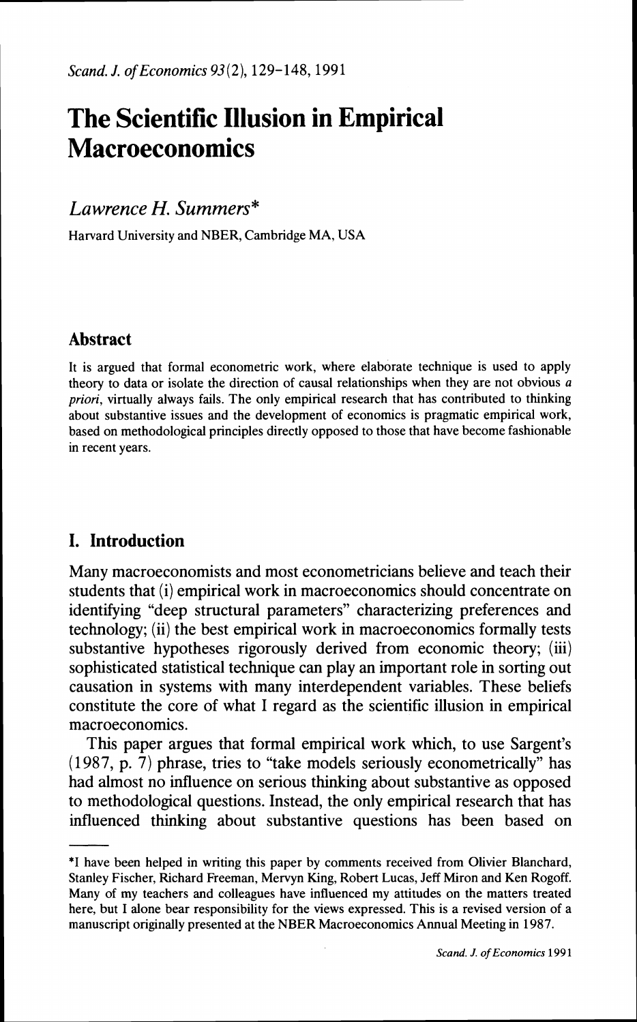# **The Scientific Illusion in Empirical Macroeconomics**

# *Lawrence H. Summers\**

Harvard University and NBER, Cambridge MA, USA

## **Abstract**

It is argued that formal econometric work, where elaborate technique is used to apply theory to data or isolate the direction of causal relationships when they are not obvious a **priori,** virtually always fails. The only empirical research that has contributed to thinking about substantive issues and the development of economics is pragmatic empirical work, based on methodological principles directly opposed to those that have become fashionable in recent years.

# **I. Introduction**

Many macroeconomists and most econometricians believe and teach their students that (i) empirical work in macroeconomics should concentrate on identifying "deep structural parameters" characterizing preferences and technology; (ii) the best empirical work in macroeconomics formally tests substantive hypotheses rigorously derived from economic theory; (iii) sophisticated statistical technique can play an important role in sorting out causation in systems with many interdependent variables. These beliefs constitute the core of what I regard as the scientific illusion in empirical macroeconomics.

This paper argues that formal empirical work which, to use Sargent's (1987, p. 7) phrase, tries to "take models seriously econometrically" has had almost no influence on serious thinking about substantive as opposed to methodological questions. Instead, the only empirical research that has influenced thinking about substantive questions has been based on

<sup>\*</sup>I have been helped in writing this paper by comments received from Olivier Blanchard, Stanley Fischer, Richard Freeman, Mervyn King, Robert Lucas, Jeff Miron and Ken Rogoff. Many of my teachers and colleagues have influenced my attitudes on the matters treated here, but I alone bear responsibility for the views expressed. This is a revised version of a manuscript originally presented at the NBER Macroeconomics Annual Meeting in 1987.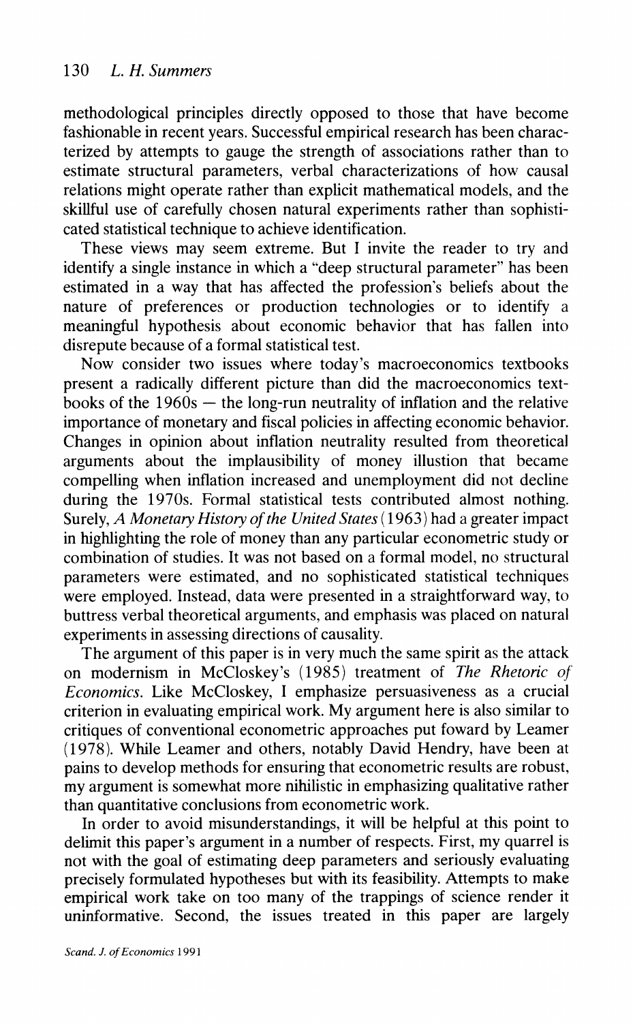methodological principles directly opposed to those that have become fashionable in recent years. Successful empirical research has been characterized by attempts to gauge the strength of associations rather than to estimate structural parameters, verbal characterizations of how causal relations might operate rather than explicit mathematical models, and the skillful use of carefully chosen natural experiments rather than sophisticated statistical technique to achieve identification.

These views may seem extreme. But I invite the reader to try and identify a single instance in which a "deep structural parameter" has been estimated in a way that has affected the profession's beliefs about the nature of preferences or production technologies or to identify a meaningful hypothesis about economic behavior that has fallen into disrepute because of a formal statistical test.

Now consider two issues where today's macroeconomics textbooks present a radically different picture than did the macroeconomics textbooks of the  $1960s$  - the long-run neutrality of inflation and the relative importance of monetary and fiscal policies in affecting economic behavior. Changes in opinion about inflation neutrality resulted from theoretical arguments about the implausibility of money illustion that became compelling when inflation increased and unemployment did not decline during the 1970s. Formal statistical tests contributed almost nothing. Surely, A Monetary History of the United States (1963) had a greater impact in highlighting the role of money than any particular econometric study or combination of studies. It was not based on a formal model. no structural parameters were estimated, and no sophisticated statistical techniques were employed. Instead, data were presented in a straightforward way. to buttress verbal theoretical arguments, and emphasis was placed on natural experiments in assessing directions of causality.

The argument of this paper is in very much the same spirit as the attack on modernism in McCloskey's (1985) treatment of *The Rhetoric of Economics.* Like McCloskey, I emphasize persuasiveness as a crucial criterion in evaluating empirical work. My argument here is also similar to critiques of conventional econometric approaches put foward by Leamer (1978). While Leamer and others, notably David Hendry, have been at pains to develop methods for ensuring that econometric results are robust, my argument is somewhat more nihilistic in emphasizing qualitative rather than quantitative conclusions from econometric work.

In order to avoid misunderstandings, it will be helpful at this point to delimit this paper's argument in a number of respects. First, my quarrel is not with the goal of estimating deep parameters and seriously evaluating precisely formulated hypotheses but with its feasibility. Attempts to make empirical work take on too many of the trappings of science render it uninformative. Second, the issues treated in this paper are largely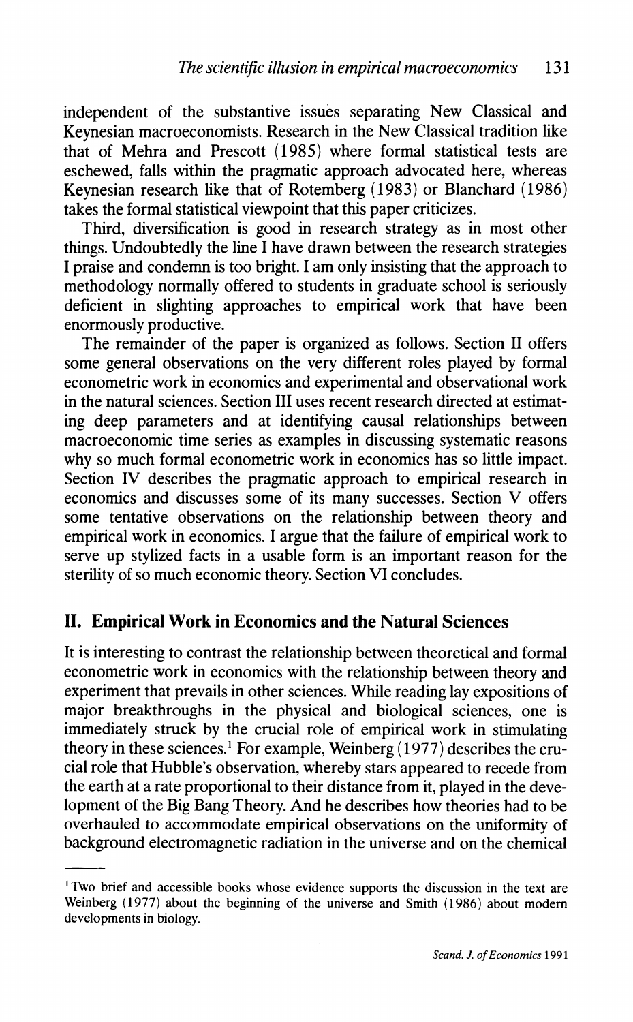independent of the substantive issues separating New Classical and Keynesian macroeconomists. Research in the New Classical tradition like that of Mehra and Prescott (1985) where formal statistical tests are eschewed, falls within the pragmatic approach advocated here, whereas Keynesian research like that of Rotemberg (1983) or Blanchard (1986) takes the formal statistical viewpoint that this paper criticizes.

Third, diversification is good in research strategy as in most other things. Undoubtedly the line I have drawn between the research strategies I praise and condemn is too bright. I am only insisting that the approach to methodology normally offered to students in graduate school is seriously deficient in slighting approaches to empirical work that have been enormously productive.

The remainder of the paper is organized as follows. Section I1 offers some general observations on the very different roles played by formal econometric work in economics and experimental and observational work in the natural sciences. Section 111 uses recent research directed at estimating deep parameters and at identifying causal relationships between macroeconomic time series as examples in discussing systematic reasons why so much formal econometric work in economics has so little impact. Section IV describes the pragmatic approach to empirical research in economics and discusses some of its many successes. Section V offers some tentative observations on the relationship between theory and empirical work in economics. I argue that the failure of empirical work to serve up stylized facts in a usable form is an important reason for the sterility of so much economic theory. Section VI concludes.

#### **11. Empirical Work in Economics and the Natural Sciences**

It is interesting to contrast the relationship between theoretical and formal econometric work in economics with the relationship between theory and experiment that prevails in other sciences. While reading lay expositions of major breakthroughs in the physical and biological sciences, one is immediately struck by the crucial role of empirical work in stimulating theory in these sciences.' For example, Weinberg (1977) describes the crucial role that Hubble's observation, whereby stars appeared to recede from the earth at a rate proportional to their distance from it, played in the development of the Big Bang Theory. And he describes how theories had to be overhauled to accommodate empirical observations on the uniformity of background electromagnetic radiation in the universe and on the chemical

<sup>&#</sup>x27;Two brief and accessible books whose evidence supports the discussion in the text are Weinberg (1977) about the beginning of the universe and Smith (1986) about modem developments in biology.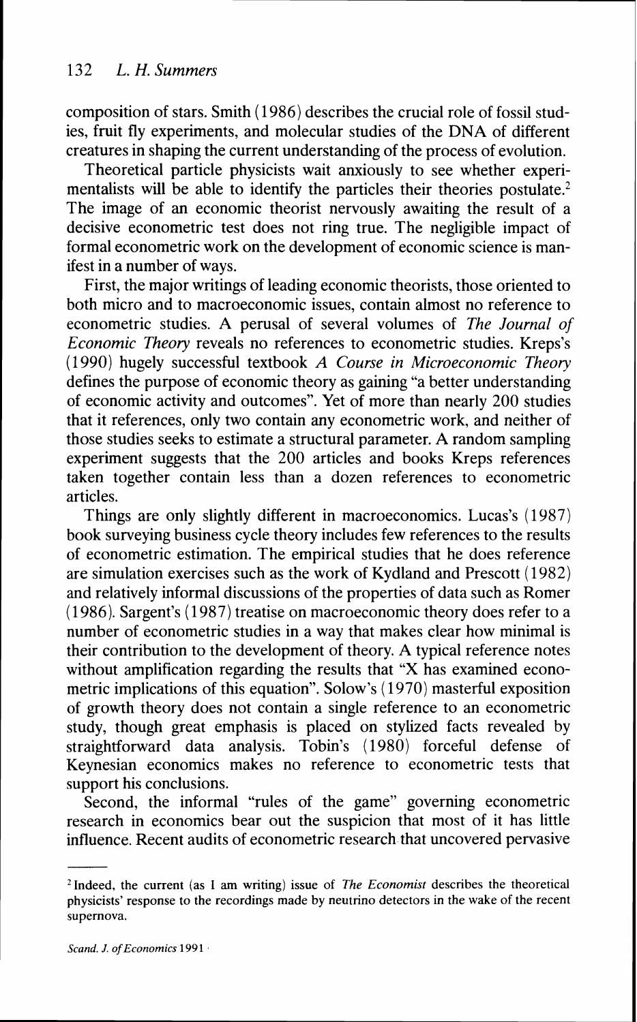composition of stars. Smith (1986) describes the crucial role of fossil studies, fruit fly experiments, and molecular studies of the DNA of different creatures in shaping the current understanding of the process of evolution.

Theoretical particle physicists wait anxiously to see whether experimentalists will be able to identify the particles their theories postulate.<sup>2</sup> The image of an economic theorist nervously awaiting the result of a decisive econometric test does not ring true. The negligible impact of formal econometric work on the development of economic science is manifest in a number of ways.

First, the major writings of leading economic theorists, those oriented to both micro and to macroeconomic issues, contain almost no reference to econometric studies. A perusal of several volumes of *The Journal of Economic Theory* reveals no references to econometric studies. Kreps's (1 990) hugely successful textbook *A Course in Microeconomic Theory*  defines the purpose of economic theory as gaining "a better understanding of economic activity and outcomes". Yet of more than nearly 200 studies that it references, only two contain any econometric work, and neither of those studies seeks to estimate a structural parameter. A random sampling experiment suggests that the 200 articles and books Kreps references taken together contain less than a dozen references to econometric articles.

Things are only slightly different in macroeconomics. Lucas's (1987) book surveying business cycle theory includes few references to the results of econometric estimation. The empirical studies that he does reference are simulation exercises such as the work of Kydland and Prescott (1982) and relatively informal discussions of the properties of data such as Romer (1986). Sargent's (1987) treatise on macroeconomic theory does refer to a number of econometric studies in a way that makes clear how minimal is their contribution to the development of theory. A typical reference notes without amplification regarding the results that "X has examined econometric implications of this equation". Solow's (1970) masterful exposition of growth theory does not contain a single reference to an econometric study, though great emphasis is placed on stylized facts revealed by straightforward data analysis. Tobin's (1980) forceful defense of Keynesian economics makes no reference to econometric tests that support his conclusions.

Second, the informal "rules of the game" governing econometric research in economics bear out the suspicion that most of it has little influence. Recent audits of econometric research that uncovered pervasive

 $2$ Indeed, the current (as I am writing) issue of *The Economist* describes the theoretical physicists' response to the recordings made by neutrino detectors in the wake of the recent supernova.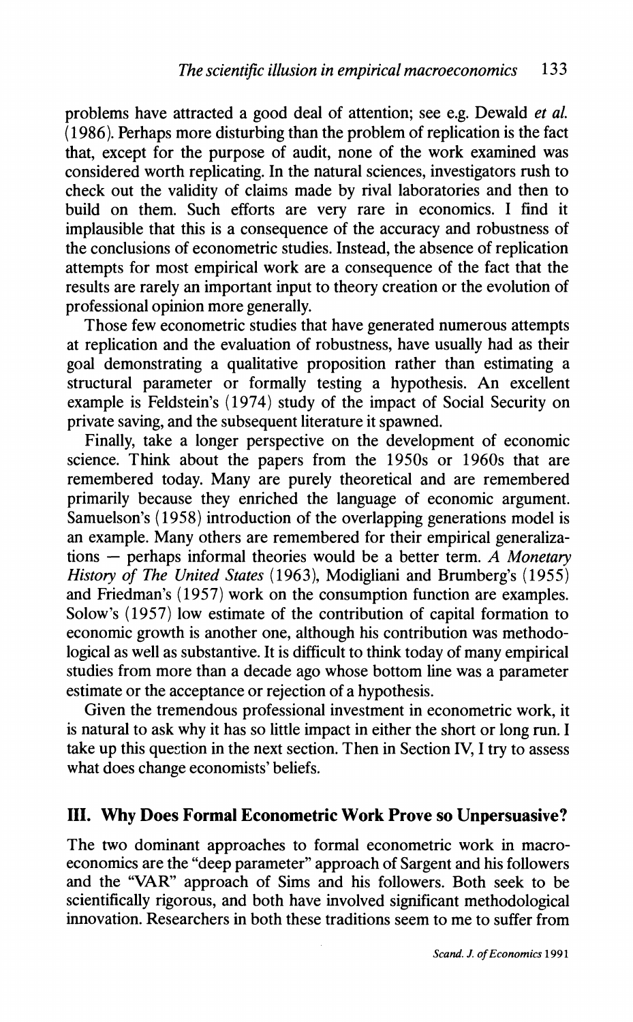problems have attracted a good deal of attention; see e.g. Dewald *et al.*  (1986). Perhaps more disturbing than the problem of replication is the fact that, except for the purpose of audit, none of the work examined was considered worth replicating. In the natural sciences, investigators rush to check out the validity of claims made by rival laboratories and then to build on them. Such efforts are very rare in economics. I find it implausible that this is a consequence of the accuracy and robustness of the conclusions of econometric studies. Instead, the absence of replication attempts for most empirical work are a consequence of the fact that the results are rarely an important input to theory creation or the evolution of professional opinion more generally.

Those few econometric studies that have generated numerous attempts at replication and the evaluation of robustness, have usually had as their goal demonstrating a qualitative proposition rather than estimating a structural parameter or formally testing a hypothesis. An excellent example is Feldstein's (1974) study of the impact of Social Security on private saving, and the subsequent literature it spawned.

Finally, take a longer perspective on the development of economic science. Think about the papers from the 1950s or 1960s that are remembered today. Many are purely theoretical and are remembered primarily because they enriched the language of economic argument. Samuelson's (1958) introduction of the overlapping generations model is an example. Many others are remembered for their empirical generalizations - perhaps informal theories would be a better term. *A Monetary History of The United States* ( 1963), Modigliani and Brumberg's ( 1955) and Friedman's (1957) work on the consumption function are examples. Solow's (1957) low estimate of the contribution of capital formation to economic growth is another one, although his contribution was methodological as well as substantive. It is difficult to think today of many empirical studies from more than a decade ago whose bottom line was a parameter estimate or the acceptance or rejection of a hypothesis.

Given the tremendous professional investment in econometric work, it is natural to ask why it has so little impact in either the short or long run. I take up this question in the next section. Then in Section IV, I try to assess what does change economists' beliefs.

#### **111. Why Does Formal Econometric Work Prove so Unpersuasive?**

The two dominant approaches to formal econometric work in macroeconomics are the "deep parameter" approach of Sargent and his followers and the "VAR" approach of Sims and his followers. Both seek to be scientifically rigorous, and both have involved significant methodological innovation. Researchers in both these traditions seem to me to suffer from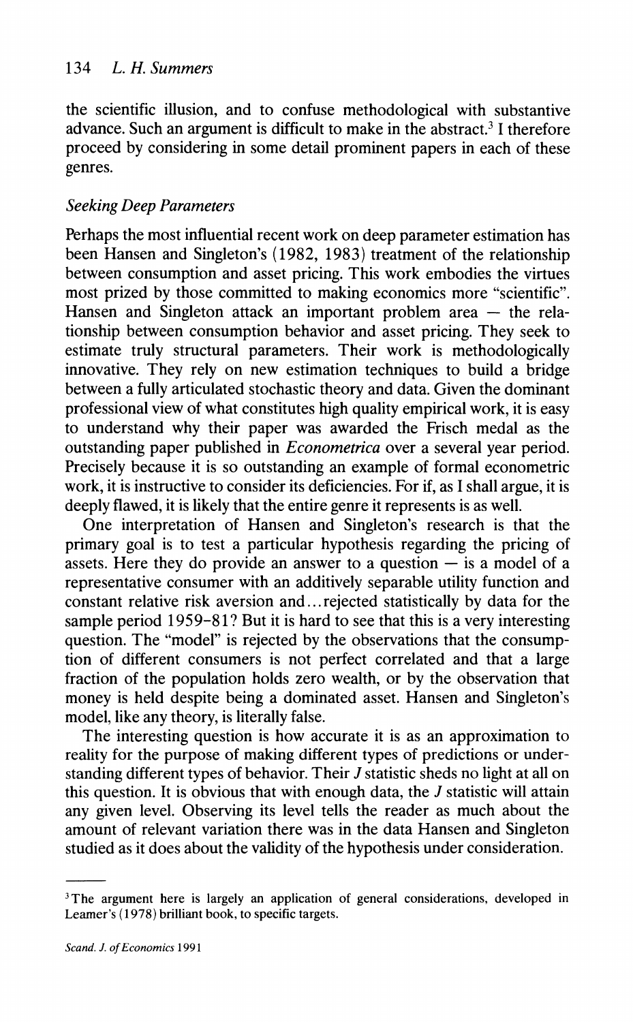#### 134 L. *H. Summers*

the scientific illusion, and to confuse methodological with substantive advance. Such an argument is difficult to make in the abstract.<sup>3</sup> I therefore proceed by considering in some detail prominent papers in each of these genres.

#### *Seeking Deep Parameters*

Perhaps the most influential recent work on deep parameter estimation has been Hansen and Singleton's (1982, 1983) treatment of the relationship between consumption and asset pricing. This work embodies the virtues most prized by those committed to making economics more "scientific".<br>Hansen and Singleton attack an important problem area — the relationship between consumption behavior and asset pricing. They seek to estimate truly structural parameters. Their work is methodologically innovative. They rely on new estimation techniques to build a bridge between a fully articulated stochastic theory and data. Given the dominant professional view of what constitutes high quality empirical work, it is easy to understand why their paper was awarded the Frisch medal as the outstanding paper published in *Econornetrica* over a several year period. Precisely because it is so outstanding an example of formal econometric work, it is instructive to consider its deficiencies. For if, as I shall argue, it is deeply flawed, it is likely that the entire genre it represents is as well.

One interpretation of Hansen and Singleton's research is that the primary goal is to test a particular hypothesis regarding the pricing of assets. Here they do provide an answer to a question  $-\overline{\phantom{a}}$  is a model of a representative consumer with an additively separable utility function and constant relative risk aversion and.. .rejected statistically by data for the sample period 1959-81? But it is hard to see that this is a very interesting question. The "model" is rejected by the observations that the consumption of different consumers is not perfect correlated and that a large fraction of the population holds zero wealth, or by the observation that money is held despite being a dominated asset. Hansen and Singleton's model, like any theory, is literally false.

The interesting question is how accurate it is as an approximation to reality for the purpose of making different types of predictions or understanding different types of behavior. Their J statistic sheds no light at all on this question. It is obvious that with enough data, the  $J$  statistic will attain any given level. Observing its level tells the reader as much about the amount of relevant variation there was in the data Hansen and Singleton studied as it does about the validity of the hypothesis under consideration.

<sup>&</sup>lt;sup>3</sup>The argument here is largely an application of general considerations, developed in Learner's (1978) brilliant book, to specific targets.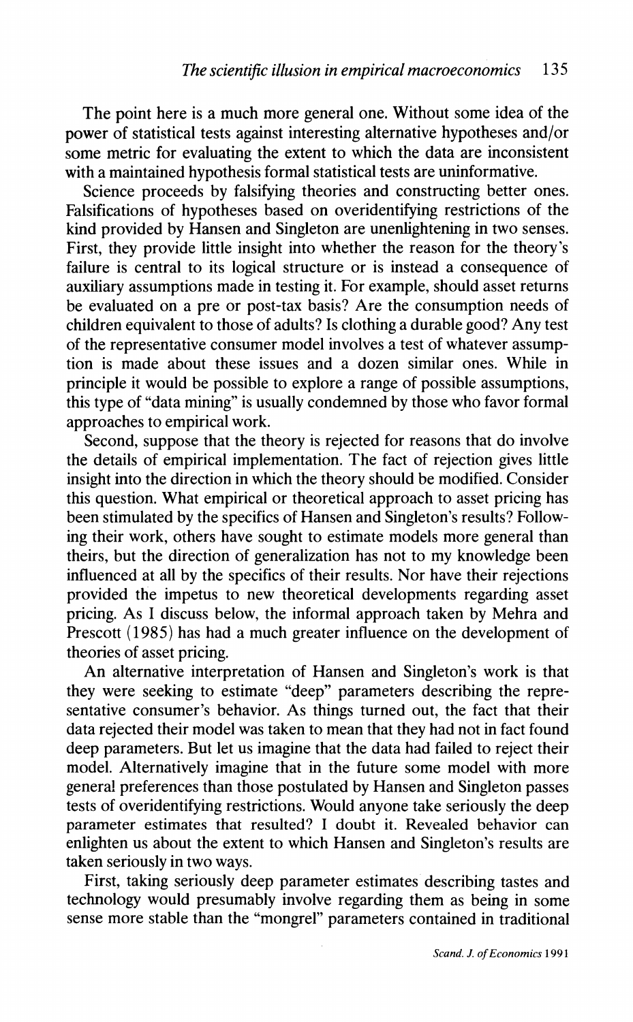The point here is a much more general one. Without some idea of the power of statistical tests against interesting alternative hypotheses and/or some metric for evaluating the extent to which the data are inconsistent with a maintained hypothesis formal statistical tests are uninformative.

Science proceeds by falsifying theories and constructing better ones. Falsifications of hypotheses based on overidentifying restrictions of the kind provided by Hansen and Singleton are unenlightening in two senses. First, they provide little insight into whether the reason for the theory's failure is central to its logical structure or is instead a consequence of auxiliary assumptions made in testing it. For example, should asset returns be evaluated on a pre or post-tax basis? Are the consumption needs of children equivalent to those of adults? Is clothing a durable good? Any test of the representative consumer model involves a test of whatever assumption is made about these issues and a dozen similar ones. While in principle it would be possible to explore a range of possible assumptions. this type of "data mining" is usually condemned by those who favor formal approaches to empirical work.

Second, suppose that the theory is rejected for reasons that do involve the details of empirical implementation. The fact of rejection gives little insight into the direction in which the theory should be modified. Consider this question. What empirical or theoretical approach to asset pricing has been stimulated by the specifics of Hansen and Singleton's results? Following their work, others have sought to estimate models more general than theirs, but the direction of generalization has not to my knowledge been influenced at all by the specifics of their results. Nor have their rejections provided the impetus to new theoretical developments regarding asset pricing. As I discuss below, the informal approach taken by Mehra and Prescott (1985) has had a much greater influence on the development of theories of asset pricing.

An alternative interpretation of Hansen and Singleton's work is that they were seeking to estimate "deep" parameters describing the representative consumer's behavior. As things turned out, the fact that their data rejected their model was taken to mean that they had not in fact found deep parameters. But let us imagine that the data had failed to reject their model. Alternatively imagine that in the future some model with more genera! preferences than those postulated by Hansen and Singleton passes tests of overidentifying restrictions. Would anyone take seriously the deep parameter estimates that resulted? I doubt it. Revealed behavior can enlighten us about the extent to which Hansen and Singleton's results are taken seriously in two ways.

First, taking seriously deep parameter estimates describing tastes and technology would presumably involve regarding them as being in some sense more stable than the "mongrel" parameters contained in traditional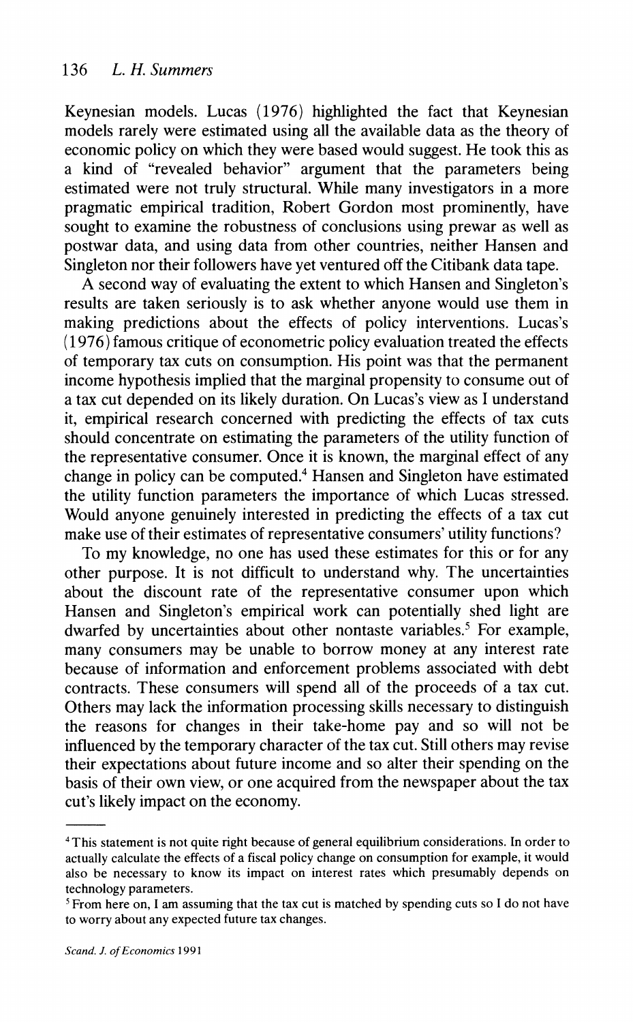Keynesian models. Lucas (1976) highlighted the fact that Keynesian models rarely were estimated using all the available data as the theory of economic policy on which they were based would suggest. He took this as a kind of "revealed behavior" argument that the parameters being estimated were not truly structural. While many investigators in a more pragmatic empirical tradition, Robert Gordon most prominently, have sought to examine the robustness of conclusions using prewar as well as postwar data, and using data from other countries, neither Hansen and Singleton nor their followers have yet ventured off the Citibank data tape.

A second way of evaluating the extent to which Hansen and Singleton's results are taken seriously is to ask whether anyone would use them in making predictions about the effects of policy interventions. Lucas's  $(1976)$  famous critique of econometric policy evaluation treated the effects of temporary tax cuts on consumption. His point was that the permanent income hypothesis implied that the marginal propensity to consume out of a tax cut depended on its likely duration. On Lucas's view as I understand it, empirical research concerned with predicting the effects of tax cuts should concentrate on estimating the parameters of the utility function of the representative consumer. Once it is known, the marginal effect of any change in policy can be computed.' Hansen and Singleton have estimated the utility function parameters the importance of which Lucas stressed. Would anyone genuinely interested in predicting the effects of a tax cut make use of their estimates of representative consumers' utility functions?

To my knowledge, no one has used these estimates for this or for any other purpose. It is not difficult to understand why. The uncertainties about the discount rate of the representative consumer upon which Hansen and Singleton's empirical work can potentially shed light are dwarfed by uncertainties about other nontaste variables.<sup>5</sup> For example, many consumers may be unable to borrow money at any interest rate because of information and enforcement problems associated with debt contracts. These consumers will spend all of the proceeds of a tax cut. Others may lack the information processing skills necessary to distinguish the reasons for changes in their take-home pay and so will not be influenced by the temporary character of the tax cut. Still others may revise their expectations about future income and so alter their spending on the basis of their own view, or one acquired from the newspaper about the tax cut's likely impact on the economy.

<sup>&</sup>lt;sup>4</sup> This statement is not quite right because of general equilibrium considerations. In order to actually calculate the effects of a fiscal policy change on consumption for example, it would also be necessary to know its impact on interest rates which presumably depends on technology parameters.

<sup>&</sup>lt;sup>5</sup> From here on, I am assuming that the tax cut is matched by spending cuts so I do not have to worry about any expected future tax changes.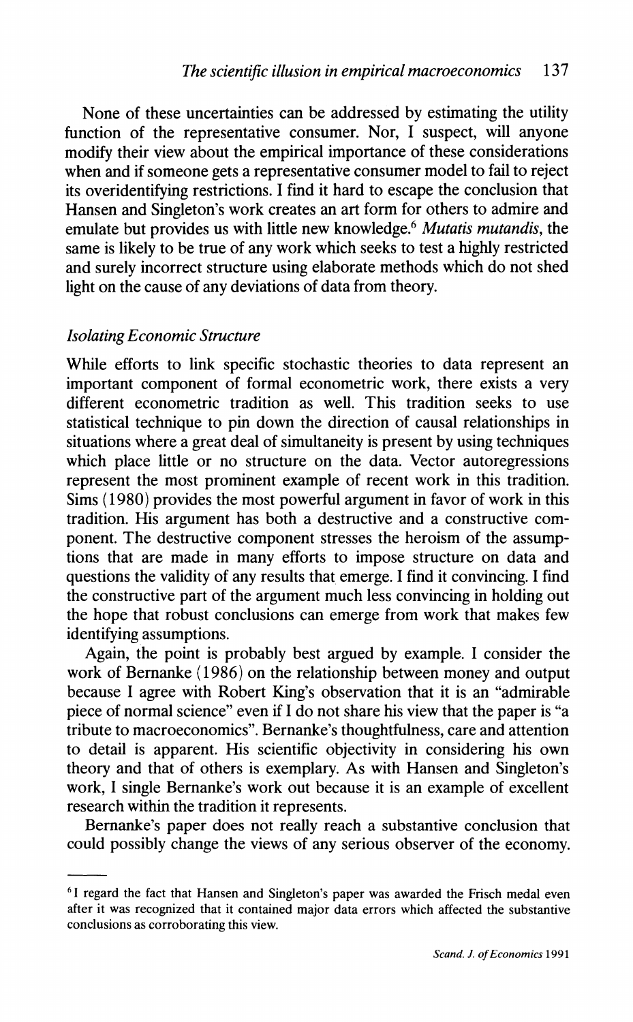None of these uncertainties can be addressed by estimating the utility function of the representative consumer. Nor, I suspect, will anyone modify their view about the empirical importance of these considerations when and if someone gets a representative consumer model to fail to reject its overidentifying restrictions. I find it hard to escape the conclusion that Hansen and Singleton's work creates an art form for others to admire and emulate but provides us with little new knowledge. $6$  Mutatis mutandis, the same is likely to be true of any work which seeks to test a highly restricted and surely incorrect structure using elaborate methods which do not shed light on the cause of any deviations of data from theory.

#### Isolating Economic Structure

While efforts to link specific stochastic theories to data represent an important component of formal econometric work, there exists a very different econometric tradition as well. This tradition seeks to use statistical technique to pin down the direction of causal relationships in situations where a great deal of simultaneity is present by using techniques which place little or no structure on the data. Vector autoregressions represent the most prominent example of recent work in this tradition. Sims (1980) provides the most powerful argument in favor of work in this tradition. His argument has both a destructive and a constructive component. The destructive component stresses the heroism of the assumptions that are made in many efforts to impose structure on data and questions the validity of any results that emerge. I find it convincing. I find the constructive part of the argument much less convincing in holding out the hope that robust conclusions can emerge from work that makes few identifying assumptions.

Again, the point is probably best argued by example. I consider the work of Bernanke (1986) on the relationship between money and output because I agree with Robert King's observation that it is an "admirable piece of normal science" even if I do not share his view that the paper is "a tribute to macroeconomics". Bernanke's thoughtfulness, care and attention to detail is apparent. His scientific objectivity in considering his own theory and that of others is exemplary. As with Hansen and Singleton's work, I single Bernanke's work out because it is an example of excellent research within the tradition it represents.

Bernanke's paper does not really reach a substantive conclusion that could possibly change the views of any serious observer of the economy.

The sum of the fact that Hansen and Singleton's paper was awarded the Frisch medal even after it was recognized that it contained major data errors which affected the substantive conclusions as corroborating this view.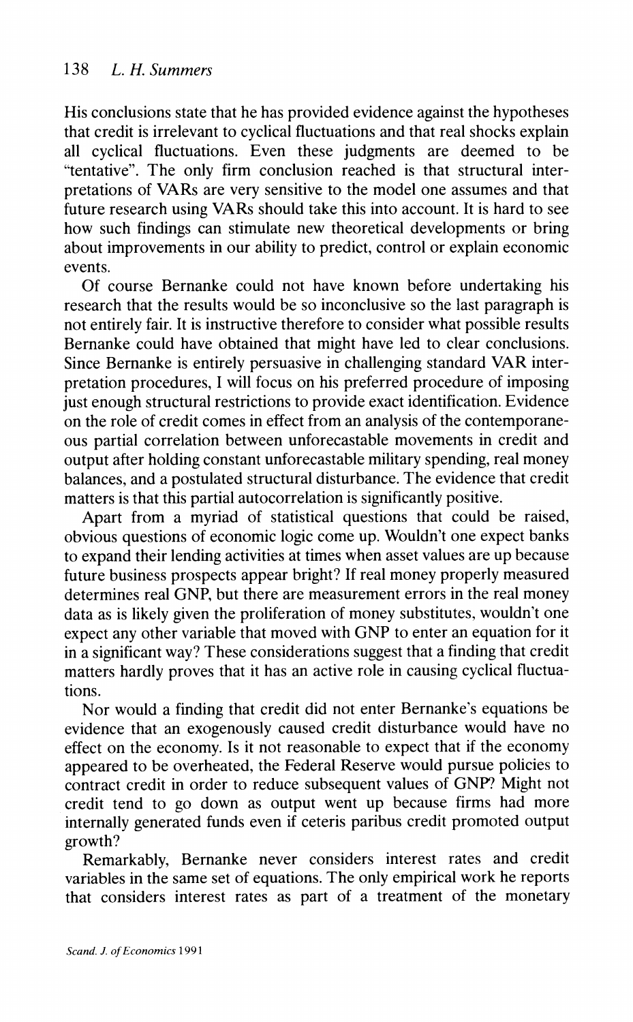His conclusions state that he has provided evidence against the hypotheses that credit is irrelevant to cyclical fluctuations and that real shocks explain all cyclical fluctuations. Even these judgments are deemed to be "tentative". The only firm conclusion reached is that structural interpretations of VARs are very sensitive to the model one assumes and that future research using VARs should take this into account. It is hard to see how such findings can stimulate new theoretical developments or bring about improvements in our ability to predict, control or explain economic events.

Of course Bernanke could not have known before undertaking his research that the results would be so inconclusive so the last paragraph is not entirely fair. It is instructive therefore to consider what possible results Bernanke could have obtained that might have led to clear conclusions. Since Bernanke is entirely persuasive in challenging standard VAR interpretation procedures, I will focus on his preferred procedure of imposing just enough structural restrictions to provide exact identification. Evidence on the role of credit comes in effect from an analysis of the contemporaneous partial correlation between unforecastable movements in credit and output after holding constant unforecastable military spending, real money balances, and a postulated structural disturbance. The evidence that credit matters is that this partial autocorrelation is significantly positive.

Apart from a myriad of statistical questions that could be raised, obvious questions of economic logic come up. Wouldn't one expect banks to expand their lending activities at times when asset values are up because future business prospects appear bright? If real money properly measured determines real GNP, but there are measurement errors in the real money data as is likely given the proliferation of money substitutes. wouldn't one expect any other variable that moved with GNP to enter an equation for it in a significant way? These considerations suggest that a finding that credit matters hardly proves that it has an active role in causing cyclical fluctuations.

Nor would a finding that credit did not enter Bernanke's equations be evidence that an exogenously caused credit disturbance would have no effect on the economy. Is it not reasonable to expect that if the economy appeared to be overheated, the Federal Reserve would pursue policies to contract credit in order to reduce subsequent values of GNP? Might not credit tend to go down as output went up because firms had more internally generated funds even if ceteris paribus credit promoted output growth?

Remarkably. Bernanke never considers interest rates and credit variables in the same set of equations. The only empirical work he reports that considers interest rates as part of a treatment of the monetary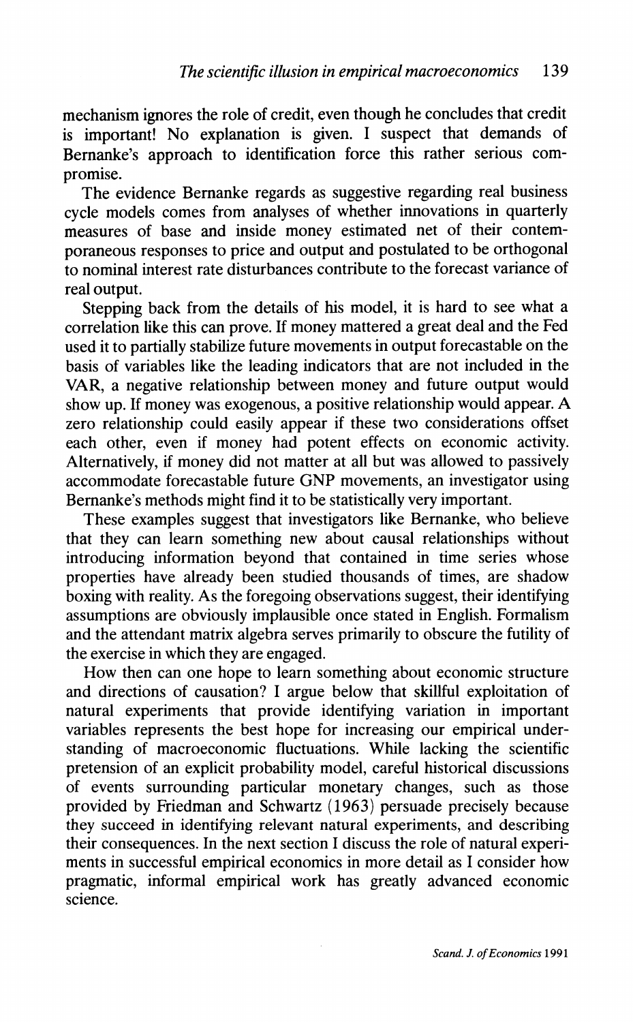mechanism ignores the role of credit, even though he concludes that credit is important! No explanation is given. I suspect that demands of Bernanke's approach to identification force this rather serious compromise.

The evidence Bernanke regards as suggestive regarding real business cycle models comes from analyses of whether innovations in quarterly measures of base and inside money estimated net of their contemporaneous responses to price and output and postulated to be orthogonal to nominal interest rate disturbances contribute to the forecast variance of real output.

Stepping back from the details of his model, it is hard to see what a correlation like this can prove. If money mattered a great deal and the Fed used it to partially stabilize future movements in output forecastable on the basis of variables like the leading indicators that are not included in the VAR, a negative relationship between money and future output would show up. If money was exogenous, a positive relationship would appear. A zero relationship could easily appear if these two considerations offset each other, even if money had potent effects on economic activity. Alternatively, if money did not matter at all but was allowed to passively accommodate forecastable future GNP movements, an investigator using Bernanke's methods might find it to be statistically very important.

These examples suggest that investigators like Bernanke, who believe that they can learn something new about causal relationships without introducing information beyond that contained in time series whose properties have already been studied thousands of times, are shadow boxing with reality. As the foregoing observations suggest, their identifying assumptions are obviously implausible once stated in English. Formalism and the attendant matrix algebra serves primarily to obscure the futility of the exercise in which they are engaged.

How then can one hope to learn something about economic structure and directions of causation? I argue below that skillful exploitation of natural experiments that provide identifying variation in important variables represents the best hope for increasing our empirical understanding of macroeconomic fluctuations. While lacking the scientific pretension of an explicit probability model, careful historical discussions of events surrounding particular monetary changes, such as those provided by Friedman and Schwartz (1963) persuade precisely because they succeed in identifying relevant natural experiments, and describing their consequences. In the next section I discuss the role of natural experiments in successful empirical economics in more detail as I consider how pragmatic, informal empirical work has greatly advanced economic science.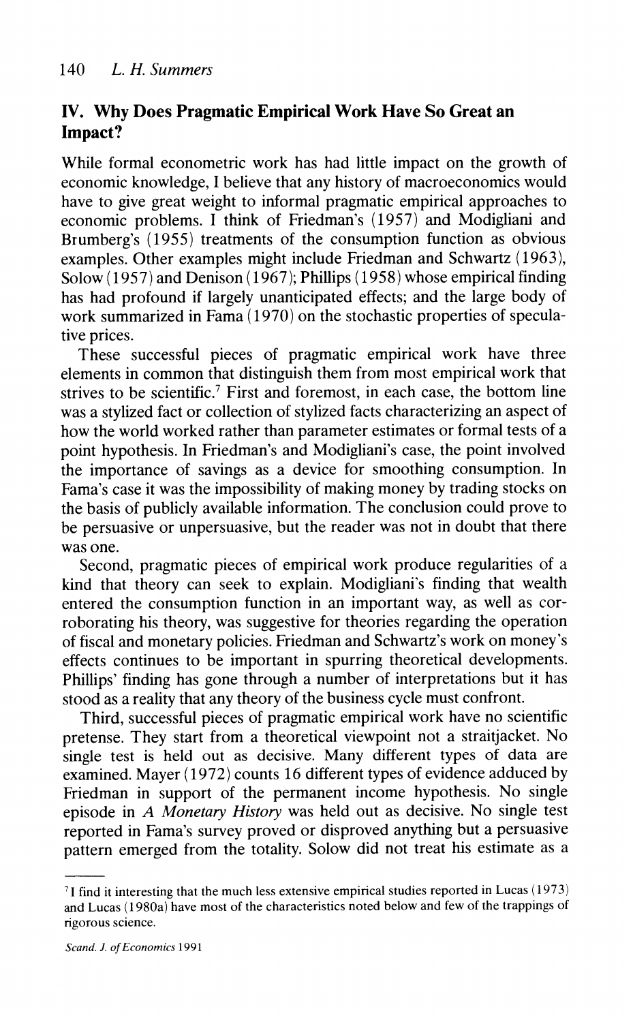## **IV. Why Does Pragmatic Empirical Work Have So Great an Impact?**

While formal econometric work has had little impact on the growth of economic knowledge, I believe that any history of macroeconomics would have to give great weight to informal pragmatic empirical approaches to economic problems. I think of Friedman's (1957) and Modigliani and Brumberg's (1955) treatments of the consumption function as obvious examples. Other examples might include Friedman and Schwartz (1963),  $Solow (1957)$  and Denison (1967); Phillips (1958) whose empirical finding has had profound if largely unanticipated effects; and the large body of work summarized in Fama (1970) on the stochastic properties of speculative prices.

These successful pieces of pragmatic empirical work have three elements in common that distinguish them from most empirical work that strives to be scientific.' First and foremost, in each case, the bottom line was a stylized fact or collection of stylized facts characterizing an aspect of how the world worked rather than parameter estimates or formal tests of a point hypothesis. In Friedman's and Modigliani's case, the point involved the importance of savings as a device for smoothing consumption. In Fama's case it was the impossibility of making money by trading stocks on the basis of publicly available information. The conclusion could prove to be persuasive or unpersuasive, but the reader was not in doubt that there was one.

Second, pragmatic pieces of empirical work produce regularities of a kind that theory can seek to explain. Modigliani's finding that wealth entered the consumption function in an important way, as well as corroborating his theory, was suggestive for theories regarding the operation of fiscal and monetary policies. Friedman and Schwartz's work on money's effects continues to be important in spurring theoretical developments. Phillips' finding has gone through a number of interpretations but it has stood as a reality that any theory of the business cycle must confront.

Third, successful pieces of pragmatic empirical work have no scientific pretense. They start from a theoretical viewpoint not a straitjacket. No single test is held out as decisive. Many different types of data are examined. Mayer (1972) counts 16 different types of evidence adduced by Friedman in support of the permanent income hypothesis. No single episode in A *Monetary History* was held out as decisive. No single test reported in Fama's survey proved or disproved anythlng but a persuasive pattern emerged from the totality. Solow did not treat his estimate as a

<sup>&#</sup>x27;1 find it interesting that the much less extensive empirical studies reported in Lucas ( 1973) and Lucas (1980a) have most of the characteristics noted below and few of the trappings of rigorous science.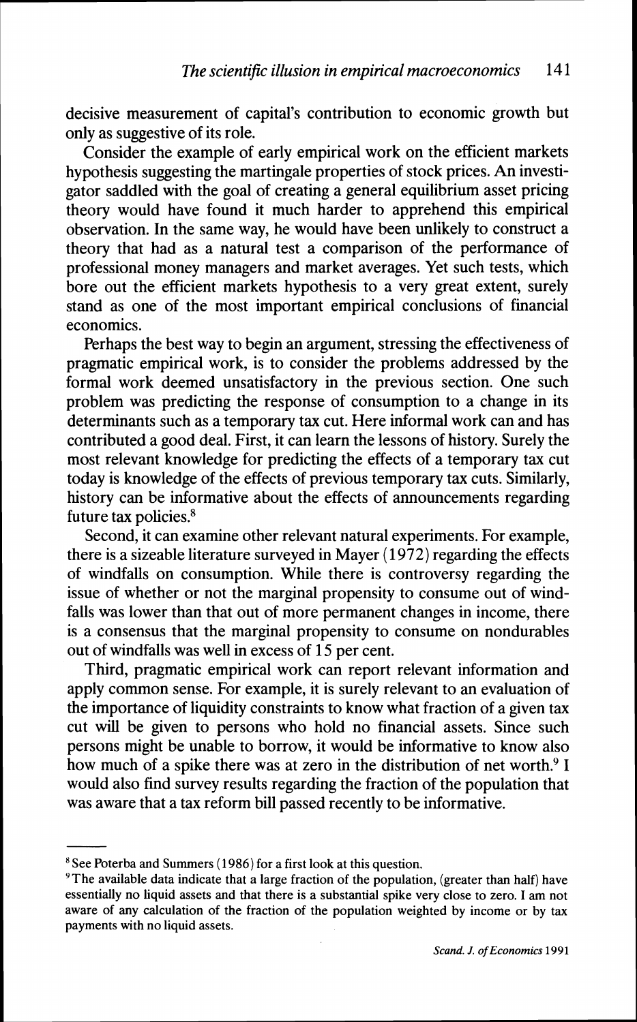decisive measurement of capital's contribution to economic growth but only as suggestive of its role.

Consider the example of early empirical work on the efficient markets hypothesis suggesting the martingale properties of stock prices. An investigator saddled with the goal of creating a general equilibrium asset pricing theory would have found it much harder to apprehend this empirical observation. In the same way, he would have been unlikely to construct a theory that had as a natural test a comparison of the performance of professional money managers and market averages. Yet such tests, which bore out the efficient markets hypothesis to a very great extent, surely stand as one of the most important empirical conclusions of financial economics.

Perhaps the best way to begin an argument, stressing the effectiveness of pragmatic empirical work, is to consider the problems addressed by the formal work deemed unsatisfactory in the previous section. One such problem was predicting the response of consumption to a change in its determinants such as a temporary tax cut. Here informal work can and has contributed a good deal. First, it can learn the lessons of history. Surely the most relevant knowledge for predicting the effects of a temporary tax cut today is knowledge of the effects of previous temporary tax cuts. Similarly, history can be informative about the effects of announcements regarding future tax policies. $8$ 

Second, it can examine other relevant natural experiments. For example, there is a sizeable literature surveyed in Mayer (1972) regarding the effects of windfalls on consumption. While there is controversy regarding the issue of whether or not the marginal propensity to consume out of windfalls was lower than that out of more permanent changes in income, there is a consensus that the marginal propensity to consume on nondurables out of windfalls was well in excess of 15 per cent.

Third, pragmatic empirical work can report relevant information and apply common sense. For example, it is surely relevant to an evaluation of the importance of liquidity constraints to know what fraction of a given tax cut will be given to persons who hold no financial assets. Since such persons might be unable to borrow, it would be informative to know also how much of a spike there was at zero in the distribution of net worth.<sup>9</sup> I would also find survey results regarding the fraction of the population that was aware that a tax reform bill passed recently to be informative.

 $8$  See Poterba and Summers (1986) for a first look at this question.

 $9$ The available data indicate that a large fraction of the population, (greater than half) have essentially no liquid assets and that there is a substantial spike very close to zero. I am not aware of any calculation of the fraction of the population weighted by income or by tax payments with no liquid assets.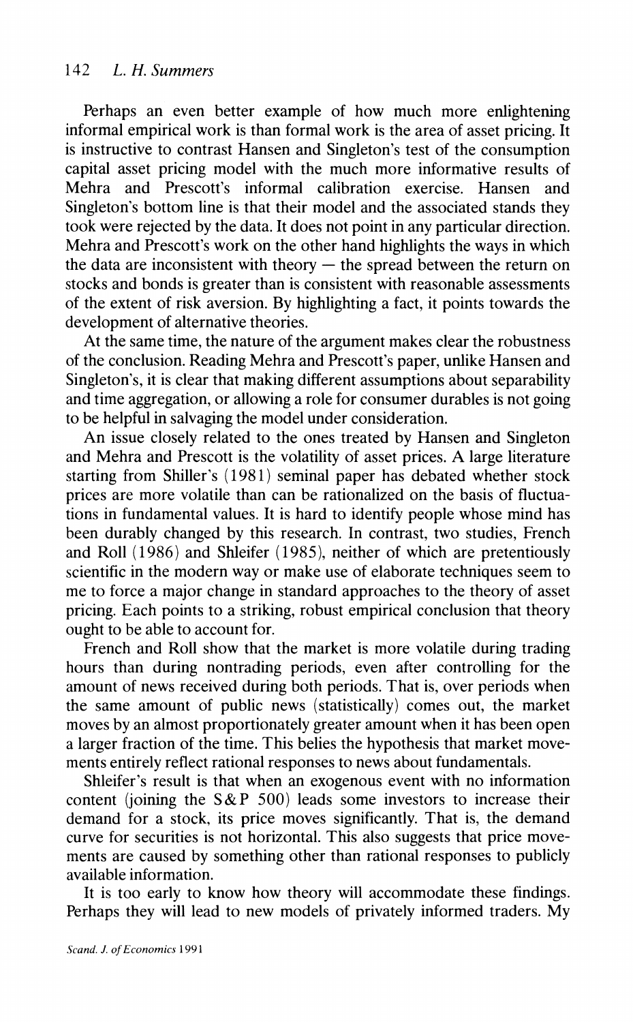Perhaps an even better example of how much more enlightening informal empirical work is than formal work is the area of asset pricing. It is instructive to contrast Hansen and Singleton's test of the consumption capital asset pricing model with the much more informative results of Mehra and Prescott's informal calibration exercise. Hansen and Singleton's bottom line is that their model and the associated stands they took were rejected by the data. It does not point in any particular direction. Mehra and Prescott's work on the other hand highlights the ways in which the data are inconsistent with theory  $-$  the spread between the return on stocks and bonds is greater than is consistent with reasonable assessments of the extent of risk aversion. By highlighting a fact, it points towards the development of alternative theories.

At the same time, the nature of the argument makes clear the robustness of the conclusion. Reading Mehra and Prescott's paper, unlike Hansen and Singleton's, it is clear that making different assumptions about separability and time aggregation, or allowing a role for consumer durables is not going to be helpful in salvaging the model under consideration.

An issue closely related to the ones treated by Hansen and Singleton and Mehra and Prescott is the volatility of asset prices. A large literature starting from Shiller's (1981) seminal paper has debated whether stock prices are more volatile than can be rationalized on the basis of fluctuations in fundamental values. It is hard to identify people whose mind has been durably changed by this research. In contrast, two studies, French and Roll (1986) and Shleifer (1985), neither of which are pretentiously scientific in the modern way or make use of elaborate techniques seem to me to force a major change in standard approaches to the theory of asset pricing. Each points to a striking, robust empirical conclusion that theory ought to be able to account for.

French and Roll show that the market is more volatile during trading hours than during nontrading periods, even after controlling for the amount of news received during both periods. That is, over periods when the same amount of public news (statistically) comes out, the market moves by an almost proportionately greater amount when it has been open a larger fraction of the time. This belies the hypothesis that market movements entirely reflect rational responses to news about fundamentals.

Shleifer's result is that when an exogenous event with no information content (joining the  $S\&P 500$ ) leads some investors to increase their demand for a stock, its price moves significantly. That is, the demand curve for securities is not horizontal. This also suggests that price movements are caused by something other than rational responses to publicly available information.

It is too early to know how theory will accommodate these findings. Perhaps they will lead to new models of privately informed traders. My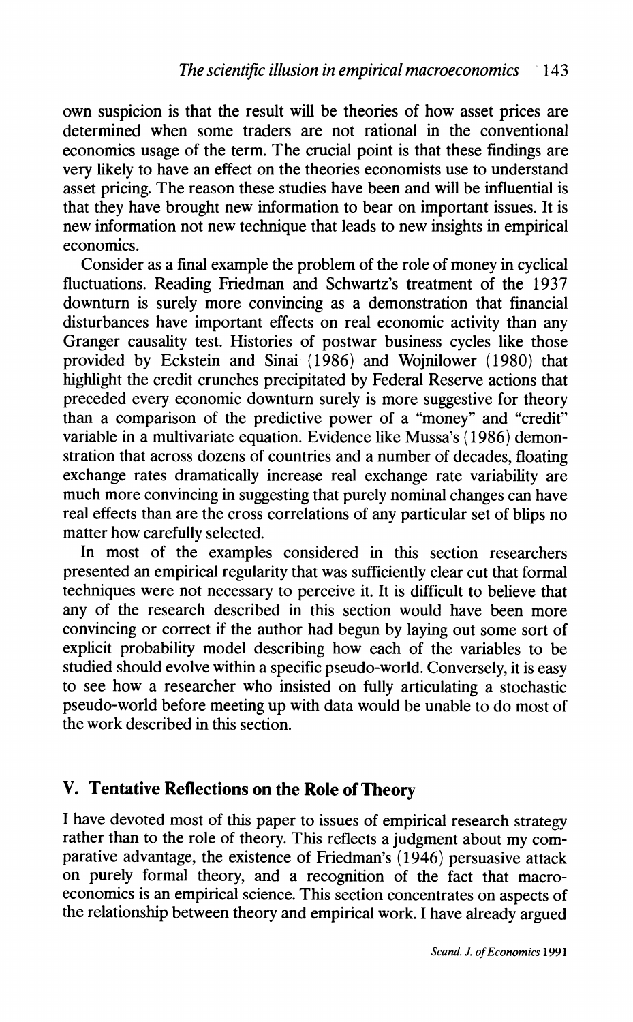own suspicion is that the result will be theories of how asset prices are determined when some traders are not rational in the conventional economics usage of the term. The crucial point is that these findings are very likely to have an effect on the theories economists use to understand asset pricing. The reason these studies have been and will be influential is that they have brought new information to bear on important issues. It is new information not new technique that leads to new insights in empirical economics.

Consider as a final example the problem of the role of money in cyclical fluctuations. Reading Friedman and Schwartz's treatment of the 1937 downturn is surely more convincing as a demonstration that financial disturbances have important effects on real economic activity than any Granger causality test. Histories of postwar business cycles like those provided by Eckstein and Sinai (1986) and Wojnilower (1980) that highlight the credit crunches precipitated by Federal Reserve actions that preceded every economic downturn surely is more suggestive for theory than a comparison of the predictive power of a "money" and "credit" variable in a multivariate equation. Evidence like Mussa's (1986) demonstration that across dozens of countries and a number of decades, floating exchange rates dramatically increase real exchange rate variability are much more convincing in suggesting that purely nominal changes can have real effects than are the cross correlations of any particular set of blips no matter how carefully selected.

In most of the examples considered in this section researchers presented an empirical regularity that was sufficiently clear cut that formal techniques were not necessary to perceive it. It is difficult to believe that any of the research described in this section would have been more convincing or correct if the author had begun by laying out some sort of explicit probability model describing how each of the variables to be studied should evolve within a specific pseudo-world. Conversely, it is easy to see how a researcher who insisted on fully articulating a stochastic pseudo-world before meeting up with data would be unable to do most of the work described in this section.

#### **V. Tentative Reflections on the Role of Theory**

I have devoted most of this paper to issues of empirical research strategy rather than to the role of theory. This reflects a judgment about my comparative advantage, the existence of Friedman's (1946) persuasive attack on purely formal theory, and a recognition of the fact that macroeconomics is an empirical science. This section concentrates on aspects of the relationship between theory and empirical work. I have already argued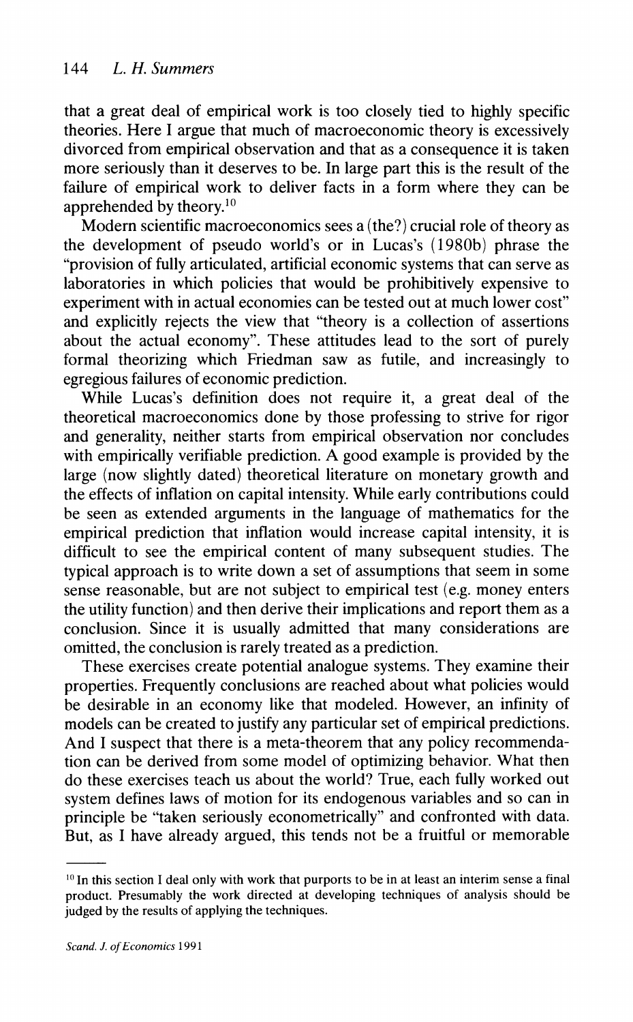that a great deal of empirical work is too closely tied to highly specific theories. Here I argue that much of macroeconomic theory is excessively divorced from empirical observation and that as a consequence it is taken more seriously than it deserves to be. In large part this is the result of the failure of empirical work to deliver facts in a form where they can be apprehended by theory. $10$ 

Modern scientific macroeconomics sees a (the?) crucial role of theory as the development of pseudo world's or in Lucas's (1980b) phrase the "provision of fully articulated, artificial economic systems that can serve as laboratories in which policies that would be prohibitively expensive to experiment with in actual economies can be tested out at much lower cost" and explicitly rejects the view that "theory is a collection of assertions about the actual economy". These attitudes lead to the sort of purely formal theorizing which Friedman saw as futile, and increasingly to egregious failures of economic prediction.

While Lucas's definition does not require it, a great deal of the theoretical macroeconomics done by those professing to strive for rigor and generality, neither starts from empirical observation nor concludes with empirically verifiable prediction. A good example is provided by the large (now slightly dated) theoretical literature on monetary growth and the effects of inflation on capital intensity. While early contributions could be seen as extended arguments in the language of mathematics for the empirical prediction that inflation would increase capital intensity, it is difficult to see the empirical content of many subsequent studies. The typical approach is to write down a set of assumptions that seem in some sense reasonable, but are not subject to empirical test (e.g. money enters the utility function) and then derive their implications and report them as a conclusion. Since it is usually admitted that many considerations are omitted, the conclusion is rarely treated as a prediction.

These exercises create potential analogue systems. They examine their properties. Frequently conclusions are reached about what policies would be desirable in an economy like that modeled. However, an infinity of models can be created to justify any particular set of empirical predictions. And I suspect that there is a meta-theorem that any policy recommendation can be derived from some model of optimizing behavior. What then do these exercises teach us about the world? True, each fully worked out system defines laws of motion for its endogenous variables and so can in principle be "taken seriously econometrically" and confronted with data. But, as I have already argued, this tends not be a fruitful or memorable

<sup>&</sup>lt;sup>10</sup> In this section I deal only with work that purports to be in at least an interim sense a final product. Presumably the work directed at developing techniques of analysis should be judged by the results of applying the techniques.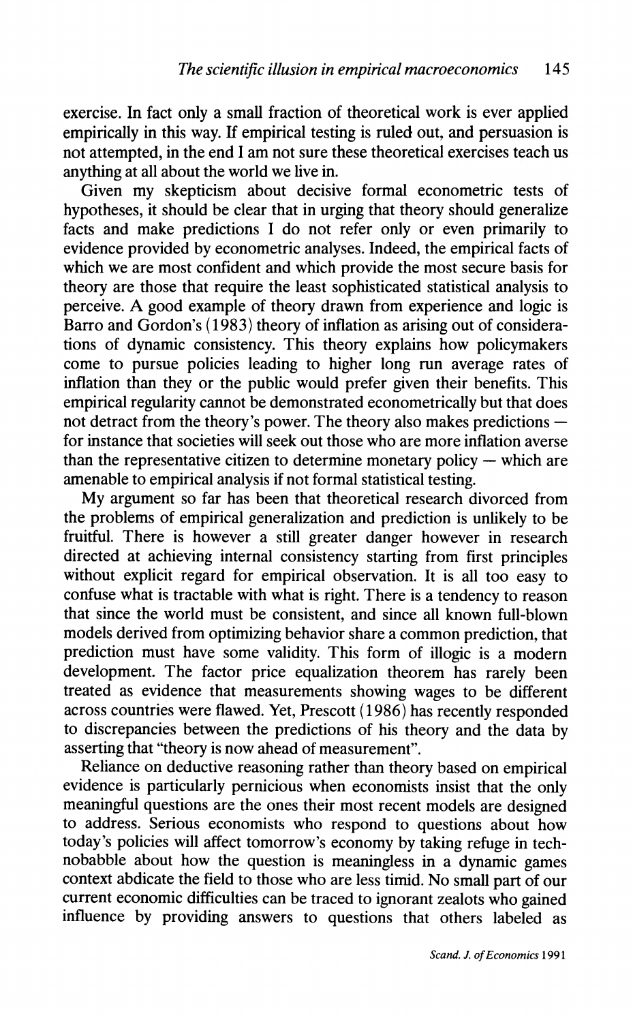exercise. In fact only a small fraction of theoretical work is ever applied empirically in this way. If empirical testing is ruled out, and persuasion is not attempted, in the end I am not sure these theoretical exercises teach us anything at all about the world we live in.

Given my skepticism about decisive formal econometric tests of hypotheses, it should be clear that in urging that theory should generalize facts and make predictions I do not refer only or even primarily to evidence provided by econometric analyses. Indeed, the empirical facts of which we are most confident and which provide the most secure basis for theory are those that require the least sophisticated statistical analysis to perceive. A good example of theory drawn from experience and logic is Barro and Gordon's (1983) theory of inflation as arising out of considerations of dynamic consistency. This theory explains how policymakers come to pursue policies leading to higher long run average rates of inflation than they or the public would prefer given their benefits. This empirical regularity cannot be demonstrated econometrically but that does<br>not detract from the theory's power. The theory also makes predictions for instance that societies will seek out those who are more inflation averse than the representative citizen to determine monetary policy  $-$  which are amenable to empirical analysis if not formal statistical testing.

My argument so far has been that theoretical research divorced from the problems of empirical generalization and prediction is unlikely to be fruitful. There is however a still greater danger however in research directed at achieving internal consistency starting from first principles without explicit regard for empirical observation. It is all too easy to confuse what is tractable with what is right. There is a tendency to reason that since the world must be consistent, and since all known full-blown models derived from optimizing behavior share a common prediction, that prediction must have some validity. This form of illogic is a modern development. The factor price equalization theorem has rarely been treated as evidence that measurements showing wages to be different across countries were flawed. Yet, Prescott (1986) has recently responded to discrepancies between the predictions of his theory and the data by asserting that "theory is now ahead of measurement".

Reliance on deductive reasoning rather than theory based on empirical evidence is particularly pernicious when economists insist that the only meaningful questions are the ones their most recent models are designed to address. Serious economists who respond to questions about how today's policies will affect tomorrow's economy by taking refuge in technobabble about how the question is meaningless in a dynamic games context abdicate the field to those who are less timid. No small part of our current economic difficulties can be traced to ignorant zealots who gained influence by providing answers to questions that others labeled as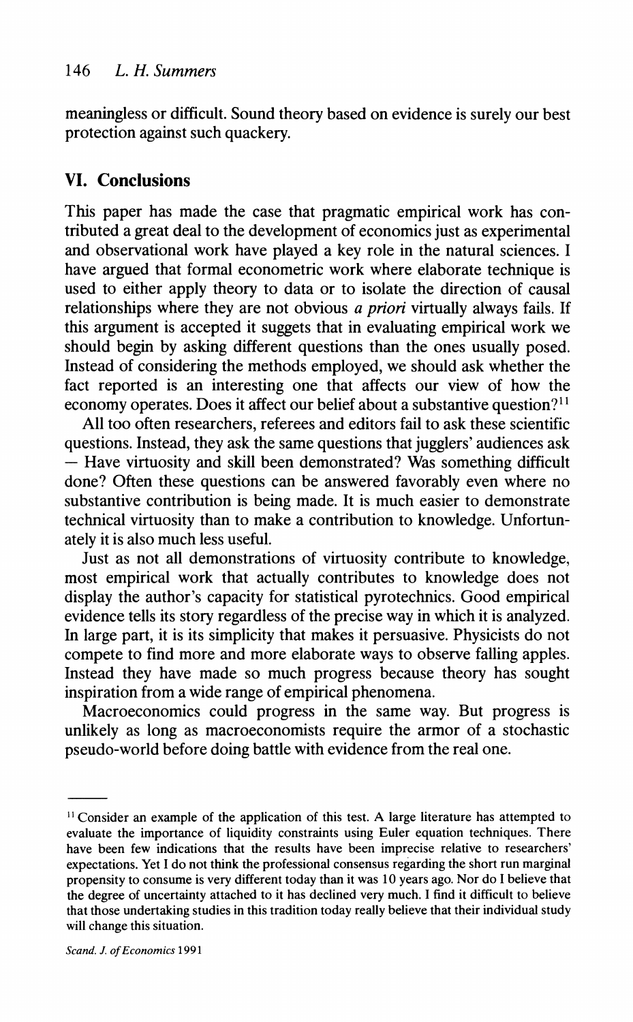meaningless or difficult. Sound theory based on evidence is surely our best protection against such quackery.

### **VI. Conclusions**

This paper has made the case that pragmatic empirical work has contributed a great deal to the development of economics just as experimental and observational work have played a key role in the natural sciences. I have argued that formal econometric work where elaborate technique is used to either apply theory to data or to isolate the direction of causal relationships where they are not obvious a *priori* virtually always fails. If this argument is accepted it suggets that in evaluating empirical work we should begin by asking different questions than the ones usually posed. Instead of considering the methods employed, we should ask whether the fact reported is an interesting one that affects our view of how the economy operates. Does it affect our belief about a substantive question?<sup>11</sup>

All too often researchers, referees and editors fail to ask these scientific questions. Instead, they ask the same questions that jugglers' audiences ask – Have virtuosity and skill been demonstrated? Was something difficult done? Often these questions can be answered favorably even where no substantive contribution is being made. It is much easier to demonstrate technical virtuosity than to make a contribution to knowledge. Unfortunately it is also much less useful.

Just as not all demonstrations of virtuosity contribute to knowledge, most empirical work that actually contributes to knowledge does not display the author's capacity for statistical pyrotechnics. Good empirical evidence tells its story regardless of the precise way in which it is analyzed. In large part, it is its simplicity that makes it persuasive. Physicists do not compete to find more and more elaborate ways to observe falling apples. Instead they have made so much progress because theory has sought inspiration from a wide range of empirical phenomena.

Macroeconomics could progress in the same way. But progress is unlikely as long as macroeconornists require the armor of a stochastic pseudo-world before doing battle with evidence from the real one.

<sup>&#</sup>x27;I Consider an example of the application of this test. **A** large literature has attempted to evaluate the importance of liquidity constraints using Euler equation techniques. There have been few indications that the results have been imprecise relative to researchers' expectations. Yet I do not think the professional consensus regarding the short run marginal propensity to consume is very different today than it was 10 years ago. Nor do I believe that the degree of uncertainty attached to it has declined very much. I find it difficult to believe that those undertaking studies in this tradition today really believe that their individual study will change this situation.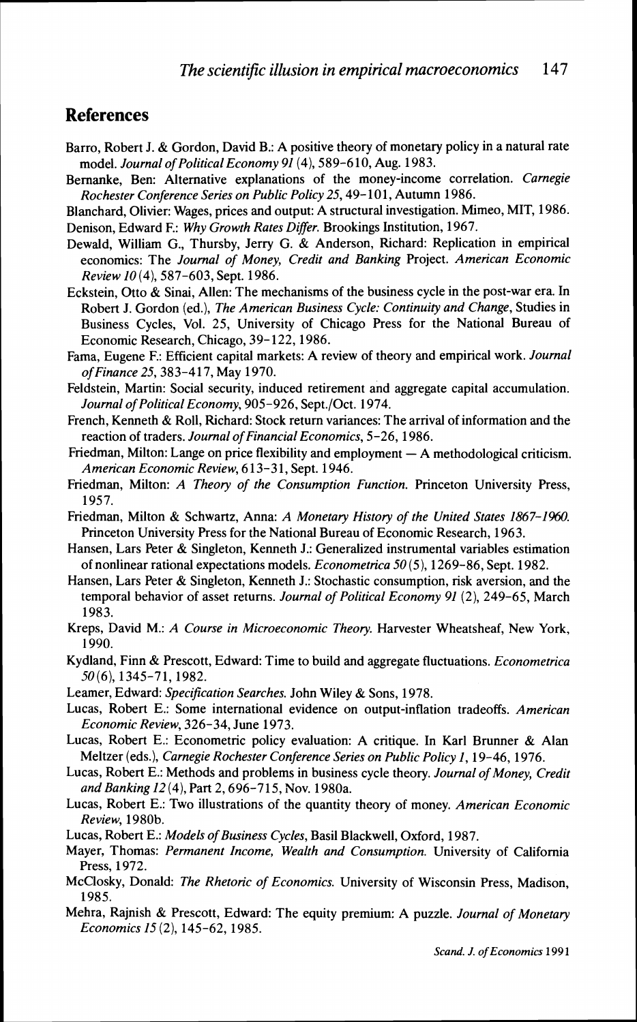#### **References**

- Barro, Robert J. & Gordon, David B.: A positive theory of monetary policy in a natural rate model. *Journal of Political Economy* 91 (4), 589-610, Aug. 1983.
- Bemanke, Ben: Alternative explanations of the money-income correlation. *Carnegie Rochester Conference Series on Public Policy* 25,49- 10 1, Autumn 1986.
- Blanchard, Olivier: Wages, prices and output: A structural investigation. Mimeo, MIT, 1986.
- Denison, Edward F.: *Why Growth Rates Differ.* Brookings Institution, 1967.
- Dewald, William G., Thursby, Jerry G. & Anderson, Richard: Replication in empirical economics: The *Journal of Money, Credit and Banking* Project. *American Economic Review* I0 (4), 587-603. Sept. 1986.
- Eckstein, Otto & Sinai, Allen: The mechanisms of the business cycle in the post-war era. In Robert J. Gordon (ed.), *The American Business Cycle: Continuity and Change,* Studies in Business Cycles, Vol. 25, University of Chicago Press for the National Bureau of Economic Research, Chicago, 39- 122, 1986.
- Fama, Eugene F.: Efficient capital markets: A review of theory and empirical work. *Journal of Finance* 25,383-417, May 1970.
- Feldstein, Martin: Social security, induced retirement and aggregate capital accumulation. *Journal of Political Economy,* 905-926, Sept./Oct. 1974.
- French, Kenneth & Roll, Richard: Stock return variances: The arrival of information and the reaction of traders. *Journal of Financial Economics,* 5-26, 1986.
- Friedman, Milton: Lange on price flexibility and employment  $-A$  methodological criticism. *American Economic Review,* 6 13-3 1, Sept. 1946.
- Friedman, Milton: *A Theory of the Consumption Function.* Princeton University Press, 1957.
- Friedman, Milton & Schwartz, Anna: *A Monetary History of the United States 1867-1960*. Princeton University Press for the National Bureau of Economic Research, 1963.
- Hansen, Lars Peter & Singleton, Kenneth J.: Generalized instrumental variables estimation of nonlinear rational expectations models. *Econometrica* 50 (5), 1269-86, Sept. 1982.
- Hansen, Lars Peter & Singleton, Kenneth J.: Stochastic consumption, risk aversion, and the temporal behavior of asset returns. *Journal of Political Economy* 91 (2), 249-65, March 1983.
- Kreps, David M.: *A Course in Microeconomic Theory.* Harvester Wheatsheaf, New York, 1990.
- Kydland, Finn & Prescott, Edward: Time to build and aggregate fluctuations. *Econornetrica*   $50(6)$ , 1345-71, 1982.
- Leamer, Edward: *Specification Searches*. John Wiley & Sons, 1978.
- Lucas, Robert E.: Some international evidence on output-inflation tradeoffs. *American Economic Review,* 326-34, June 1973.
- Lucas, Robert E.: Econometric policy evaluation: A critique. In Karl Brunner & Alan Meltzer (eds.), *Carnegie Rochester Conference Series on Public Policy 1,* 19-46, 1976.
- Lucas, Robert E.: Methods and problems in business cycle theory. *Journal of Money, Credit and Banking 12* (4), Part 2,696-715, Nov. 1980a.
- Lucas, Robert E.: Two illustrations of the quantity theory of money. *American Economic Review,* 1980b.
- Lucas, Robert E.: *Models of Business Cycles,* Basil Blackwell, Oxford, 1987.
- Mayer, Thomas: *Permanent Income, Wealth and Consumption.* University of California Press, 1972.
- McClosky, Donald: *The Rhetoric of Economics.* University of Wisconsin Press, Madison, 1985.
- Mehra, Rajnish & Prescott, Edward: The equity premium: A puzzle. *Journal of Monetary Economics* **15** (2), 145-62, 1985.